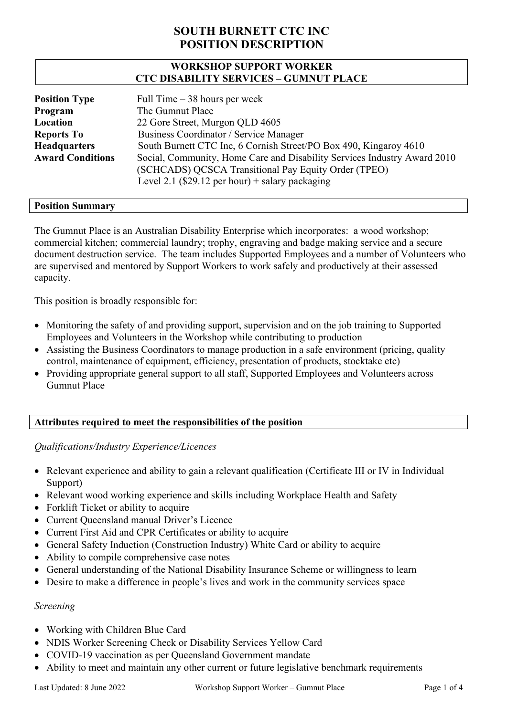## **WORKSHOP SUPPORT WORKER CTC DISABILITY SERVICES – GUMNUT PLACE**

| <b>Position Type</b>    | Full Time $-38$ hours per week                                           |
|-------------------------|--------------------------------------------------------------------------|
| Program                 | The Gumnut Place                                                         |
| Location                | 22 Gore Street, Murgon QLD 4605                                          |
| <b>Reports To</b>       | Business Coordinator / Service Manager                                   |
| <b>Headquarters</b>     | South Burnett CTC Inc, 6 Cornish Street/PO Box 490, Kingaroy 4610        |
| <b>Award Conditions</b> | Social, Community, Home Care and Disability Services Industry Award 2010 |
|                         | (SCHCADS) QCSCA Transitional Pay Equity Order (TPEO)                     |
|                         | Level 2.1 (\$29.12 per hour) + salary packaging                          |

### **Position Summary**

The Gumnut Place is an Australian Disability Enterprise which incorporates: a wood workshop; commercial kitchen; commercial laundry; trophy, engraving and badge making service and a secure document destruction service. The team includes Supported Employees and a number of Volunteers who are supervised and mentored by Support Workers to work safely and productively at their assessed capacity.

This position is broadly responsible for:

- Monitoring the safety of and providing support, supervision and on the job training to Supported Employees and Volunteers in the Workshop while contributing to production
- Assisting the Business Coordinators to manage production in a safe environment (pricing, quality control, maintenance of equipment, efficiency, presentation of products, stocktake etc)
- Providing appropriate general support to all staff, Supported Employees and Volunteers across Gumnut Place

## **Attributes required to meet the responsibilities of the position**

## *Qualifications/Industry Experience/Licences*

- Relevant experience and ability to gain a relevant qualification (Certificate III or IV in Individual Support)
- Relevant wood working experience and skills including Workplace Health and Safety
- Forklift Ticket or ability to acquire
- Current Queensland manual Driver's Licence
- Current First Aid and CPR Certificates or ability to acquire
- General Safety Induction (Construction Industry) White Card or ability to acquire
- Ability to compile comprehensive case notes
- General understanding of the National Disability Insurance Scheme or willingness to learn
- Desire to make a difference in people's lives and work in the community services space

#### *Screening*

- Working with Children Blue Card
- NDIS Worker Screening Check or Disability Services Yellow Card
- COVID-19 vaccination as per Queensland Government mandate
- Ability to meet and maintain any other current or future legislative benchmark requirements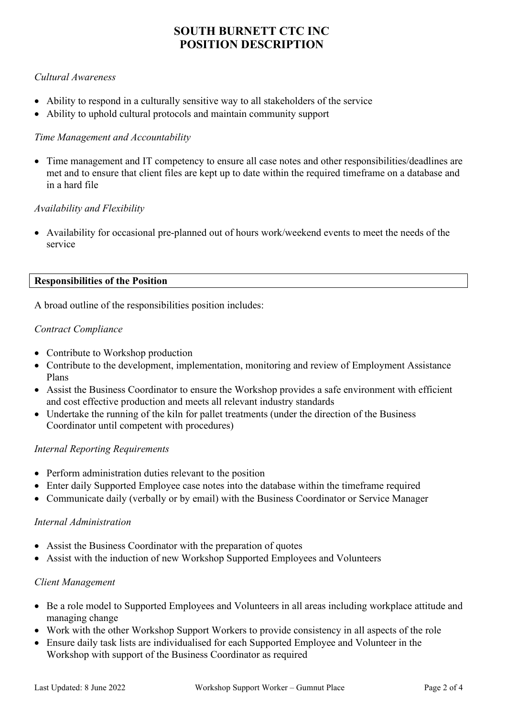## *Cultural Awareness*

- Ability to respond in a culturally sensitive way to all stakeholders of the service
- Ability to uphold cultural protocols and maintain community support

## *Time Management and Accountability*

• Time management and IT competency to ensure all case notes and other responsibilities/deadlines are met and to ensure that client files are kept up to date within the required timeframe on a database and in a hard file

### *Availability and Flexibility*

• Availability for occasional pre-planned out of hours work/weekend events to meet the needs of the service

#### **Responsibilities of the Position**

A broad outline of the responsibilities position includes:

#### *Contract Compliance*

- Contribute to Workshop production
- Contribute to the development, implementation, monitoring and review of Employment Assistance Plans
- Assist the Business Coordinator to ensure the Workshop provides a safe environment with efficient and cost effective production and meets all relevant industry standards
- Undertake the running of the kiln for pallet treatments (under the direction of the Business Coordinator until competent with procedures)

## *Internal Reporting Requirements*

- Perform administration duties relevant to the position
- Enter daily Supported Employee case notes into the database within the timeframe required
- Communicate daily (verbally or by email) with the Business Coordinator or Service Manager

#### *Internal Administration*

- Assist the Business Coordinator with the preparation of quotes
- Assist with the induction of new Workshop Supported Employees and Volunteers

## *Client Management*

- Be a role model to Supported Employees and Volunteers in all areas including workplace attitude and managing change
- Work with the other Workshop Support Workers to provide consistency in all aspects of the role
- Ensure daily task lists are individualised for each Supported Employee and Volunteer in the Workshop with support of the Business Coordinator as required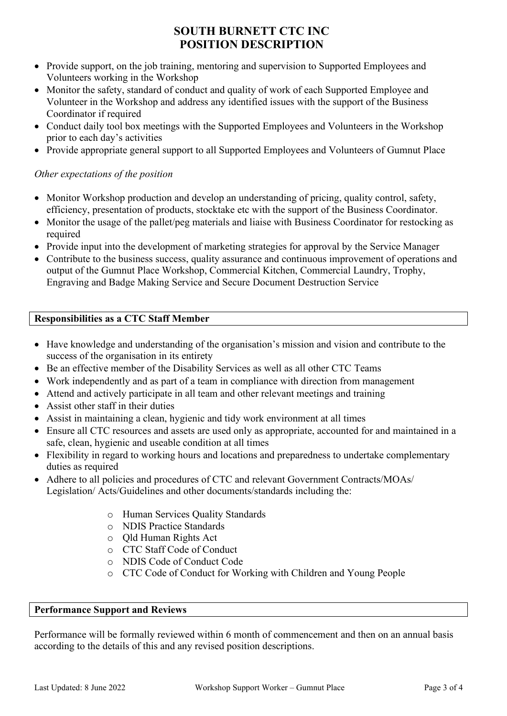- Provide support, on the job training, mentoring and supervision to Supported Employees and Volunteers working in the Workshop
- Monitor the safety, standard of conduct and quality of work of each Supported Employee and Volunteer in the Workshop and address any identified issues with the support of the Business Coordinator if required
- Conduct daily tool box meetings with the Supported Employees and Volunteers in the Workshop prior to each day's activities
- Provide appropriate general support to all Supported Employees and Volunteers of Gumnut Place

## *Other expectations of the position*

- Monitor Workshop production and develop an understanding of pricing, quality control, safety, efficiency, presentation of products, stocktake etc with the support of the Business Coordinator.
- Monitor the usage of the pallet/peg materials and liaise with Business Coordinator for restocking as required
- Provide input into the development of marketing strategies for approval by the Service Manager
- Contribute to the business success, quality assurance and continuous improvement of operations and output of the Gumnut Place Workshop, Commercial Kitchen, Commercial Laundry, Trophy, Engraving and Badge Making Service and Secure Document Destruction Service

## **Responsibilities as a CTC Staff Member**

- Have knowledge and understanding of the organisation's mission and vision and contribute to the success of the organisation in its entirety
- Be an effective member of the Disability Services as well as all other CTC Teams
- Work independently and as part of a team in compliance with direction from management
- Attend and actively participate in all team and other relevant meetings and training
- Assist other staff in their duties
- Assist in maintaining a clean, hygienic and tidy work environment at all times
- Ensure all CTC resources and assets are used only as appropriate, accounted for and maintained in a safe, clean, hygienic and useable condition at all times
- Flexibility in regard to working hours and locations and preparedness to undertake complementary duties as required
- Adhere to all policies and procedures of CTC and relevant Government Contracts/MOAs/ Legislation/ Acts/Guidelines and other documents/standards including the:
	- o Human Services Quality Standards
	- o NDIS Practice Standards
	- o Qld Human Rights Act
	- o CTC Staff Code of Conduct
	- o NDIS Code of Conduct Code
	- o CTC Code of Conduct for Working with Children and Young People

#### **Performance Support and Reviews**

Performance will be formally reviewed within 6 month of commencement and then on an annual basis according to the details of this and any revised position descriptions.